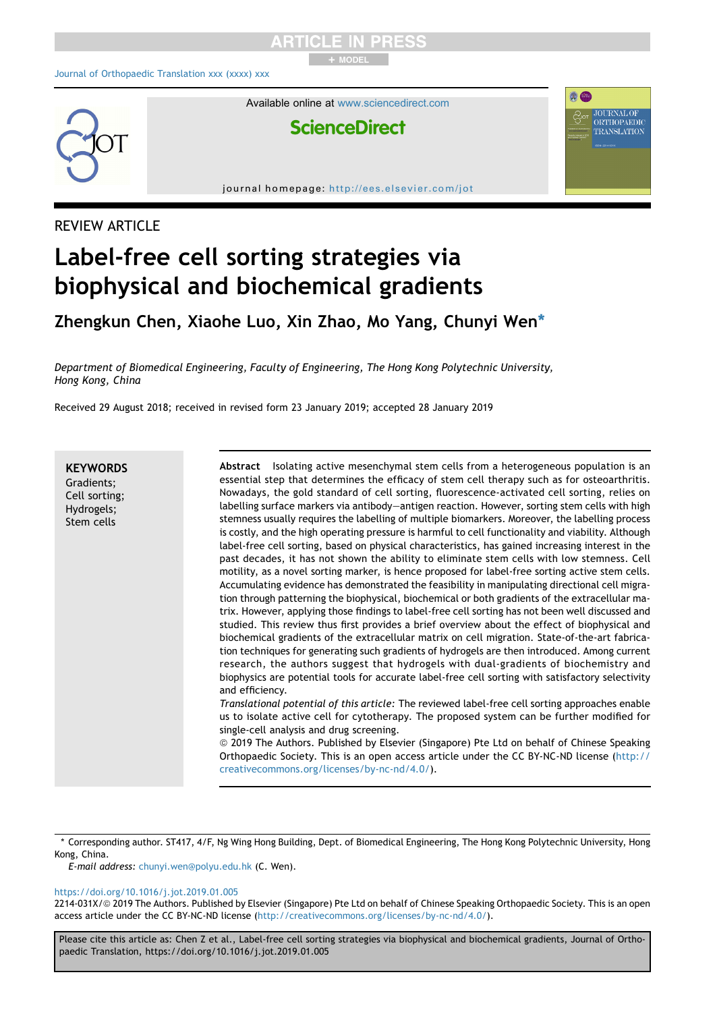$\bullet$ 

**JOURNAL OF** ORTHOPAEDIC<br>TRANSLATION



Available online at www.sciencedirect.com



journal homepage: http://ees.elsevier.com/jot

### REVIEW ARTICLE

**KEYWORDS** Gradients; Cell sorting; Hydrogels; Stem cells

# Label-free cell sorting strategies via biophysical and biochemical gradients

## Zhengkun Chen, Xiaohe Luo, Xin Zhao, Mo Yang, Chunyi Wen\*

Department of Biomedical Engineering, Faculty of Engineering, The Hong Kong Polytechnic University, Hong Kong, China

Received 29 August 2018; received in revised form 23 January 2019; accepted 28 January 2019

Abstract Isolating active mesenchymal stem cells from a heterogeneous population is an essential step that determines the efficacy of stem cell therapy such as for osteoarthritis. Nowadays, the gold standard of cell sorting, fluorescence-activated cell sorting, relies on labelling surface markers via antibody-antigen reaction. However, sorting stem cells with high stemness usually requires the labelling of multiple biomarkers. Moreover, the labelling process is costly, and the high operating pressure is harmful to cell functionality and viability. Although label-free cell sorting, based on physical characteristics, has gained increasing interest in the past decades, it has not shown the ability to eliminate stem cells with low stemness. Cell motility, as a novel sorting marker, is hence proposed for label-free sorting active stem cells. Accumulating evidence has demonstrated the feasibility in manipulating directional cell migration through patterning the biophysical, biochemical or both gradients of the extracellular matrix. However, applying those findings to label-free cell sorting has not been well discussed and studied. This review thus first provides a brief overview about the effect of biophysical and biochemical gradients of the extracellular matrix on cell migration. State-of-the-art fabrication techniques for generating such gradients of hydrogels are then introduced. Among current research, the authors suggest that hydrogels with dual-gradients of biochemistry and biophysics are potential tools for accurate label-free cell sorting with satisfactory selectivity and efficiency. Translational potential of this article: The reviewed label-free cell sorting approaches enable us to isolate active cell for cytotherapy. The proposed system can be further modified for single-cell analysis and drug screening.

ª 2019 The Authors. Published by Elsevier (Singapore) Pte Ltd on behalf of Chinese Speaking Orthopaedic Society. This is an open access article under the CC BY-NC-ND license (http:// creativecommons.org/licenses/by-nc-nd/4.0/).

Corresponding author. ST417, 4/F, Ng Wing Hong Building, Dept. of Biomedical Engineering, The Hong Kong Polytechnic University, Hong Kong, China.

E-mail address: chunyi.wen@polyu.edu.hk (C. Wen).

#### https://doi.org/10.1016/j.jot.2019.01.005

2214-031X/© 2019 The Authors. Published by Elsevier (Singapore) Pte Ltd on behalf of Chinese Speaking Orthopaedic Society. This is an open access article under the CC BY-NC-ND license (http://creativecommons.org/licenses/by-nc-nd/4.0/).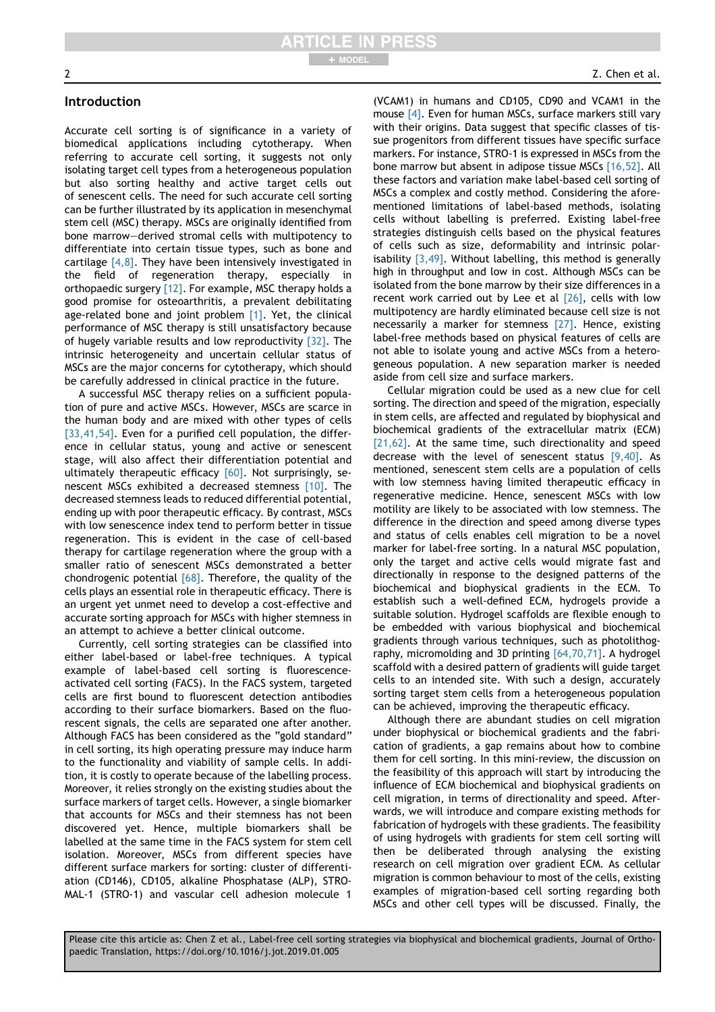#### Introduction

Accurate cell sorting is of significance in a variety of biomedical applications including cytotherapy. When referring to accurate cell sorting, it suggests not only isolating target cell types from a heterogeneous population but also sorting healthy and active target cells out of senescent cells. The need for such accurate cell sorting can be further illustrated by its application in mesenchymal stem cell (MSC) therapy. MSCs are originally identified from bone marrow-derived stromal cells with multipotency to differentiate into certain tissue types, such as bone and cartilage  $[4,8]$ . They have been intensively investigated in the field of regeneration therapy, especially in orthopaedic surgery [12]. For example, MSC therapy holds a good promise for osteoarthritis, a prevalent debilitating age-related bone and joint problem [1]. Yet, the clinical performance of MSC therapy is still unsatisfactory because of hugely variable results and low reproductivity  $[32]$ . The intrinsic heterogeneity and uncertain cellular status of MSCs are the major concerns for cytotherapy, which should be carefully addressed in clinical practice in the future.

A successful MSC therapy relies on a sufficient population of pure and active MSCs. However, MSCs are scarce in the human body and are mixed with other types of cells [33,41,54]. Even for a purified cell population, the difference in cellular status, young and active or senescent stage, will also affect their differentiation potential and ultimately therapeutic efficacy [60]. Not surprisingly, senescent MSCs exhibited a decreased stemness [10]. The decreased stemness leads to reduced differential potential, ending up with poor therapeutic efficacy. By contrast, MSCs with low senescence index tend to perform better in tissue regeneration. This is evident in the case of cell-based therapy for cartilage regeneration where the group with a smaller ratio of senescent MSCs demonstrated a better chondrogenic potential  $[68]$ . Therefore, the quality of the cells plays an essential role in therapeutic efficacy. There is an urgent yet unmet need to develop a cost-effective and accurate sorting approach for MSCs with higher stemness in an attempt to achieve a better clinical outcome.

Currently, cell sorting strategies can be classified into either label-based or label-free techniques. A typical example of label-based cell sorting is fluorescenceactivated cell sorting (FACS). In the FACS system, targeted cells are first bound to fluorescent detection antibodies according to their surface biomarkers. Based on the fluorescent signals, the cells are separated one after another. Although FACS has been considered as the "gold standard" in cell sorting, its high operating pressure may induce harm to the functionality and viability of sample cells. In addition, it is costly to operate because of the labelling process. Moreover, it relies strongly on the existing studies about the surface markers of target cells. However, a single biomarker that accounts for MSCs and their stemness has not been discovered yet. Hence, multiple biomarkers shall be labelled at the same time in the FACS system for stem cell isolation. Moreover, MSCs from different species have different surface markers for sorting: cluster of differentiation (CD146), CD105, alkaline Phosphatase (ALP), STRO-MAL-1 (STRO-1) and vascular cell adhesion molecule 1

(VCAM1) in humans and CD105, CD90 and VCAM1 in the mouse [4]. Even for human MSCs, surface markers still vary with their origins. Data suggest that specific classes of tissue progenitors from different tissues have specific surface markers. For instance, STRO-1 is expressed in MSCs from the bone marrow but absent in adipose tissue MSCs [16,52]. All these factors and variation make label-based cell sorting of MSCs a complex and costly method. Considering the aforementioned limitations of label-based methods, isolating cells without labelling is preferred. Existing label-free strategies distinguish cells based on the physical features of cells such as size, deformability and intrinsic polarisability  $[3,49]$ . Without labelling, this method is generally high in throughput and low in cost. Although MSCs can be isolated from the bone marrow by their size differences in a recent work carried out by Lee et al [26], cells with low multipotency are hardly eliminated because cell size is not necessarily a marker for stemness [27]. Hence, existing label-free methods based on physical features of cells are not able to isolate young and active MSCs from a heterogeneous population. A new separation marker is needed aside from cell size and surface markers.

Cellular migration could be used as a new clue for cell sorting. The direction and speed of the migration, especially in stem cells, are affected and regulated by biophysical and biochemical gradients of the extracellular matrix (ECM) [21,62]. At the same time, such directionality and speed decrease with the level of senescent status [9,40]. As mentioned, senescent stem cells are a population of cells with low stemness having limited therapeutic efficacy in regenerative medicine. Hence, senescent MSCs with low motility are likely to be associated with low stemness. The difference in the direction and speed among diverse types and status of cells enables cell migration to be a novel marker for label-free sorting. In a natural MSC population, only the target and active cells would migrate fast and directionally in response to the designed patterns of the biochemical and biophysical gradients in the ECM. To establish such a well-defined ECM, hydrogels provide a suitable solution. Hydrogel scaffolds are flexible enough to be embedded with various biophysical and biochemical gradients through various techniques, such as photolithography, micromolding and 3D printing [64,70,71]. A hydrogel scaffold with a desired pattern of gradients will guide target cells to an intended site. With such a design, accurately sorting target stem cells from a heterogeneous population can be achieved, improving the therapeutic efficacy.

Although there are abundant studies on cell migration under biophysical or biochemical gradients and the fabrication of gradients, a gap remains about how to combine them for cell sorting. In this mini-review, the discussion on the feasibility of this approach will start by introducing the influence of ECM biochemical and biophysical gradients on cell migration, in terms of directionality and speed. Afterwards, we will introduce and compare existing methods for fabrication of hydrogels with these gradients. The feasibility of using hydrogels with gradients for stem cell sorting will then be deliberated through analysing the existing research on cell migration over gradient ECM. As cellular migration is common behaviour to most of the cells, existing examples of migration-based cell sorting regarding both MSCs and other cell types will be discussed. Finally, the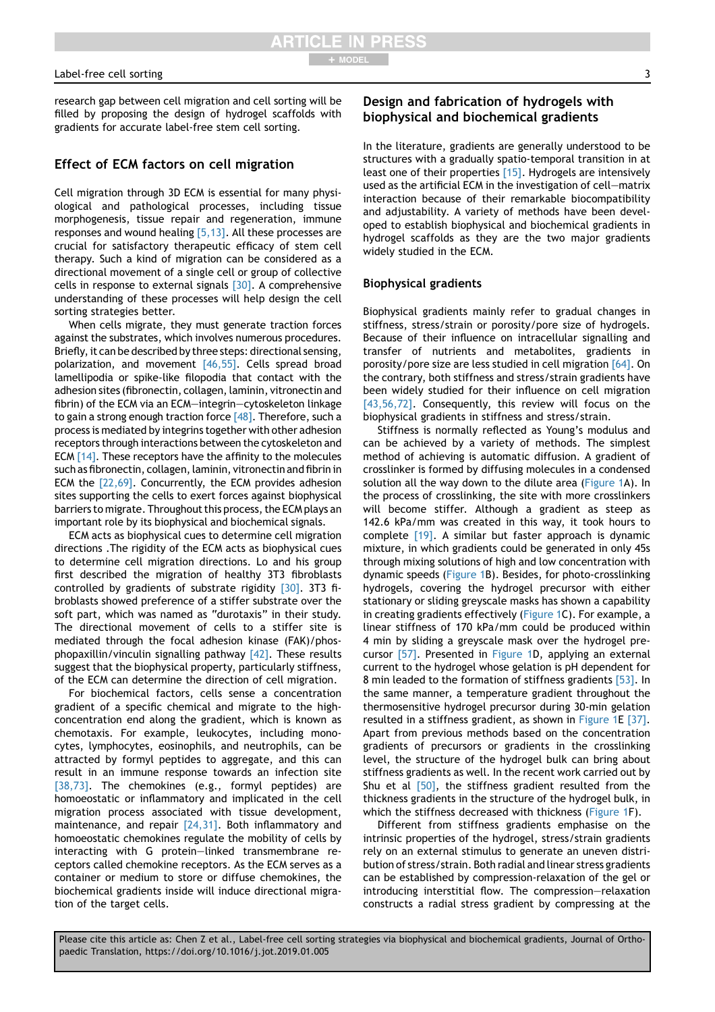#### Label-free cell sorting 3

research gap between cell migration and cell sorting will be filled by proposing the design of hydrogel scaffolds with gradients for accurate label-free stem cell sorting.

#### Effect of ECM factors on cell migration

Cell migration through 3D ECM is essential for many physiological and pathological processes, including tissue morphogenesis, tissue repair and regeneration, immune responses and wound healing [5,13]. All these processes are crucial for satisfactory therapeutic efficacy of stem cell therapy. Such a kind of migration can be considered as a directional movement of a single cell or group of collective cells in response to external signals [30]. A comprehensive understanding of these processes will help design the cell sorting strategies better.

When cells migrate, they must generate traction forces against the substrates, which involves numerous procedures. Briefly, it can be described by three steps: directional sensing, polarization, and movement [46,55]. Cells spread broad lamellipodia or spike-like filopodia that contact with the adhesion sites (fibronectin, collagen, laminin, vitronectin and fibrin) of the ECM via an ECM-integrin-cytoskeleton linkage to gain a strong enough traction force [48]. Therefore, such a process is mediated by integrins together with other adhesion receptors through interactions between the cytoskeleton and ECM [14]. These receptors have the affinity to the molecules such as fibronectin, collagen, laminin, vitronectin and fibrin in ECM the [22,69]. Concurrently, the ECM provides adhesion sites supporting the cells to exert forces against biophysical barriers to migrate. Throughout this process, the ECM plays an important role by its biophysical and biochemical signals.

ECM acts as biophysical cues to determine cell migration directions .The rigidity of the ECM acts as biophysical cues to determine cell migration directions. Lo and his group first described the migration of healthy 3T3 fibroblasts controlled by gradients of substrate rigidity [30]. 3T3 fibroblasts showed preference of a stiffer substrate over the soft part, which was named as "durotaxis" in their study. The directional movement of cells to a stiffer site is mediated through the focal adhesion kinase (FAK)/phosphopaxillin/vinculin signalling pathway [42]. These results suggest that the biophysical property, particularly stiffness, of the ECM can determine the direction of cell migration.

For biochemical factors, cells sense a concentration gradient of a specific chemical and migrate to the highconcentration end along the gradient, which is known as chemotaxis. For example, leukocytes, including monocytes, lymphocytes, eosinophils, and neutrophils, can be attracted by formyl peptides to aggregate, and this can result in an immune response towards an infection site [38,73]. The chemokines (e.g., formyl peptides) are homoeostatic or inflammatory and implicated in the cell migration process associated with tissue development, maintenance, and repair [24,31]. Both inflammatory and homoeostatic chemokines regulate the mobility of cells by interacting with G protein-linked transmembrane receptors called chemokine receptors. As the ECM serves as a container or medium to store or diffuse chemokines, the biochemical gradients inside will induce directional migration of the target cells.

#### Design and fabrication of hydrogels with biophysical and biochemical gradients

In the literature, gradients are generally understood to be structures with a gradually spatio-temporal transition in at least one of their properties [15]. Hydrogels are intensively used as the artificial ECM in the investigation of cell-matrix interaction because of their remarkable biocompatibility and adjustability. A variety of methods have been developed to establish biophysical and biochemical gradients in hydrogel scaffolds as they are the two major gradients widely studied in the ECM.

#### Biophysical gradients

Biophysical gradients mainly refer to gradual changes in stiffness, stress/strain or porosity/pore size of hydrogels. Because of their influence on intracellular signalling and transfer of nutrients and metabolites, gradients in porosity/pore size are less studied in cell migration [64]. On the contrary, both stiffness and stress/strain gradients have been widely studied for their influence on cell migration [43,56,72]. Consequently, this review will focus on the biophysical gradients in stiffness and stress/strain.

Stiffness is normally reflected as Young's modulus and can be achieved by a variety of methods. The simplest method of achieving is automatic diffusion. A gradient of crosslinker is formed by diffusing molecules in a condensed solution all the way down to the dilute area (Figure 1A). In the process of crosslinking, the site with more crosslinkers will become stiffer. Although a gradient as steep as 142.6 kPa/mm was created in this way, it took hours to complete [19]. A similar but faster approach is dynamic mixture, in which gradients could be generated in only 45s through mixing solutions of high and low concentration with dynamic speeds (Figure 1B). Besides, for photo-crosslinking hydrogels, covering the hydrogel precursor with either stationary or sliding greyscale masks has shown a capability in creating gradients effectively (Figure 1C). For example, a linear stiffness of 170 kPa/mm could be produced within 4 min by sliding a greyscale mask over the hydrogel precursor [57]. Presented in Figure 1D, applying an external current to the hydrogel whose gelation is pH dependent for 8 min leaded to the formation of stiffness gradients [53]. In the same manner, a temperature gradient throughout the thermosensitive hydrogel precursor during 30-min gelation resulted in a stiffness gradient, as shown in Figure 1E [37]. Apart from previous methods based on the concentration gradients of precursors or gradients in the crosslinking level, the structure of the hydrogel bulk can bring about stiffness gradients as well. In the recent work carried out by Shu et al [50], the stiffness gradient resulted from the thickness gradients in the structure of the hydrogel bulk, in which the stiffness decreased with thickness (Figure 1F).

Different from stiffness gradients emphasise on the intrinsic properties of the hydrogel, stress/strain gradients rely on an external stimulus to generate an uneven distribution of stress/strain. Both radial and linear stress gradients can be established by compression-relaxation of the gel or introducing interstitial flow. The compression-relaxation constructs a radial stress gradient by compressing at the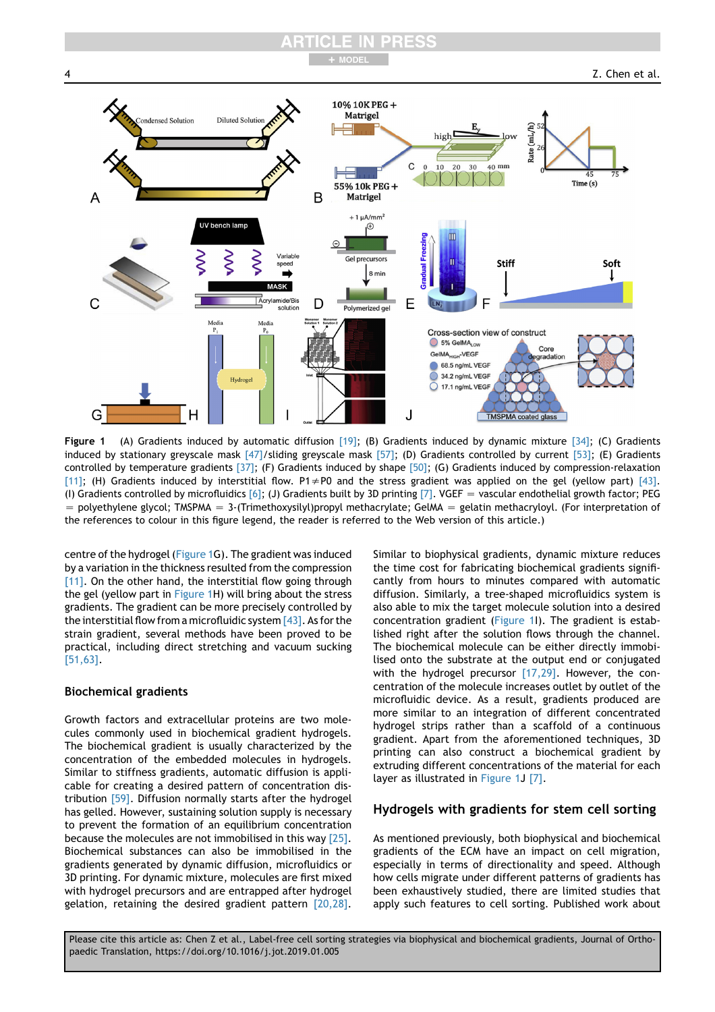4 **A** Z. Chen et al.



Figure 1 (A) Gradients induced by automatic diffusion [19]; (B) Gradients induced by dynamic mixture [34]; (C) Gradients induced by stationary greyscale mask [47]/sliding greyscale mask [57]; (D) Gradients controlled by current [53]; (E) Gradients controlled by temperature gradients [37]; (F) Gradients induced by shape [50]; (G) Gradients induced by compression-relaxation [11]; (H) Gradients induced by interstitial flow. P1 $\neq$ P0 and the stress gradient was applied on the gel (yellow part) [43]. (I) Gradients controlled by microfluidics [6]; (J) Gradients built by 3D printing [7]. VGEF = vascular endothelial growth factor; PEG  $=$  polyethylene glycol; TMSPMA  $=$  3-(Trimethoxysilyl)propyl methacrylate; GelMA  $=$  gelatin methacryloyl. (For interpretation of the references to colour in this figure legend, the reader is referred to the Web version of this article.)

centre of the hydrogel (Figure 1G). The gradient was induced by a variation in the thickness resulted from the compression [11]. On the other hand, the interstitial flow going through the gel (yellow part in Figure 1H) will bring about the stress gradients. The gradient can be more precisely controlled by the interstitial flow from a microfluidic system  $[43]$ . As for the strain gradient, several methods have been proved to be practical, including direct stretching and vacuum sucking [51,63].

#### Biochemical gradients

Growth factors and extracellular proteins are two molecules commonly used in biochemical gradient hydrogels. The biochemical gradient is usually characterized by the concentration of the embedded molecules in hydrogels. Similar to stiffness gradients, automatic diffusion is applicable for creating a desired pattern of concentration distribution [59]. Diffusion normally starts after the hydrogel has gelled. However, sustaining solution supply is necessary to prevent the formation of an equilibrium concentration because the molecules are not immobilised in this way [25]. Biochemical substances can also be immobilised in the gradients generated by dynamic diffusion, microfluidics or 3D printing. For dynamic mixture, molecules are first mixed with hydrogel precursors and are entrapped after hydrogel gelation, retaining the desired gradient pattern [20,28].

Similar to biophysical gradients, dynamic mixture reduces the time cost for fabricating biochemical gradients significantly from hours to minutes compared with automatic diffusion. Similarly, a tree-shaped microfluidics system is also able to mix the target molecule solution into a desired concentration gradient (Figure 1I). The gradient is established right after the solution flows through the channel. The biochemical molecule can be either directly immobilised onto the substrate at the output end or conjugated with the hydrogel precursor [17,29]. However, the concentration of the molecule increases outlet by outlet of the microfluidic device. As a result, gradients produced are more similar to an integration of different concentrated hydrogel strips rather than a scaffold of a continuous gradient. Apart from the aforementioned techniques, 3D printing can also construct a biochemical gradient by extruding different concentrations of the material for each layer as illustrated in Figure 1J [7].

#### Hydrogels with gradients for stem cell sorting

As mentioned previously, both biophysical and biochemical gradients of the ECM have an impact on cell migration, especially in terms of directionality and speed. Although how cells migrate under different patterns of gradients has been exhaustively studied, there are limited studies that apply such features to cell sorting. Published work about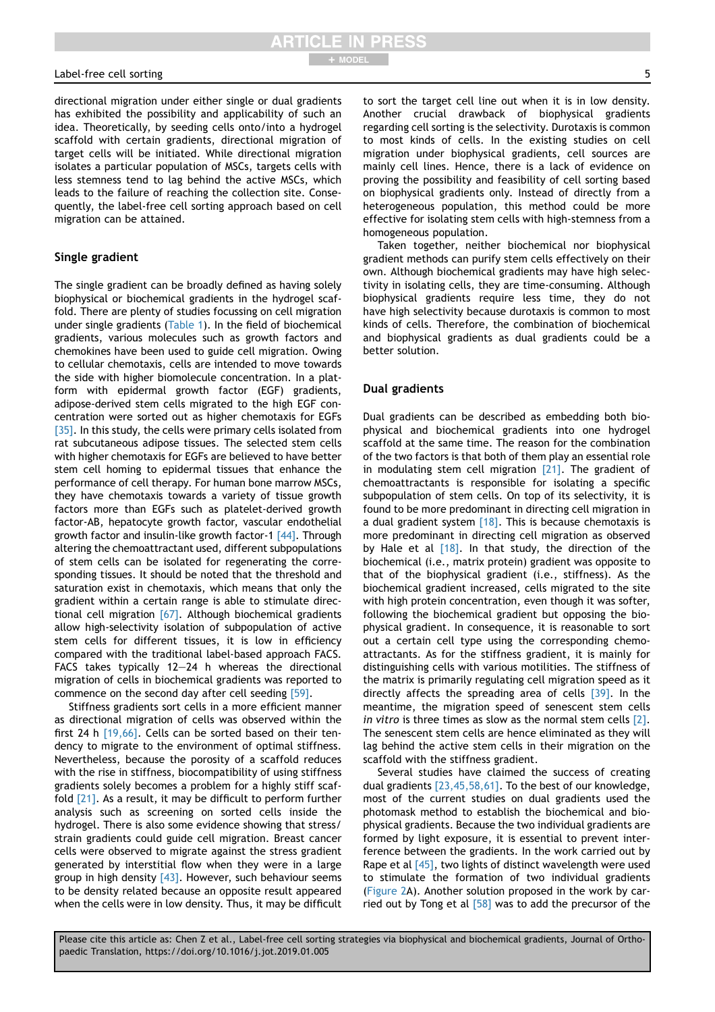#### Label-free cell sorting 5

directional migration under either single or dual gradients has exhibited the possibility and applicability of such an idea. Theoretically, by seeding cells onto/into a hydrogel scaffold with certain gradients, directional migration of target cells will be initiated. While directional migration isolates a particular population of MSCs, targets cells with less stemness tend to lag behind the active MSCs, which leads to the failure of reaching the collection site. Consequently, the label-free cell sorting approach based on cell migration can be attained.

#### Single gradient

The single gradient can be broadly defined as having solely biophysical or biochemical gradients in the hydrogel scaffold. There are plenty of studies focussing on cell migration under single gradients (Table 1). In the field of biochemical gradients, various molecules such as growth factors and chemokines have been used to guide cell migration. Owing to cellular chemotaxis, cells are intended to move towards the side with higher biomolecule concentration. In a platform with epidermal growth factor (EGF) gradients, adipose-derived stem cells migrated to the high EGF concentration were sorted out as higher chemotaxis for EGFs [35]. In this study, the cells were primary cells isolated from rat subcutaneous adipose tissues. The selected stem cells with higher chemotaxis for EGFs are believed to have better stem cell homing to epidermal tissues that enhance the performance of cell therapy. For human bone marrow MSCs, they have chemotaxis towards a variety of tissue growth factors more than EGFs such as platelet-derived growth factor-AB, hepatocyte growth factor, vascular endothelial growth factor and insulin-like growth factor-1 [44]. Through altering the chemoattractant used, different subpopulations of stem cells can be isolated for regenerating the corresponding tissues. It should be noted that the threshold and saturation exist in chemotaxis, which means that only the gradient within a certain range is able to stimulate directional cell migration [67]. Although biochemical gradients allow high-selectivity isolation of subpopulation of active stem cells for different tissues, it is low in efficiency compared with the traditional label-based approach FACS. FACS takes typically  $12-24$  h whereas the directional migration of cells in biochemical gradients was reported to commence on the second day after cell seeding [59].

Stiffness gradients sort cells in a more efficient manner as directional migration of cells was observed within the first 24 h [19,66]. Cells can be sorted based on their tendency to migrate to the environment of optimal stiffness. Nevertheless, because the porosity of a scaffold reduces with the rise in stiffness, biocompatibility of using stiffness gradients solely becomes a problem for a highly stiff scaffold [21]. As a result, it may be difficult to perform further analysis such as screening on sorted cells inside the hydrogel. There is also some evidence showing that stress/ strain gradients could guide cell migration. Breast cancer cells were observed to migrate against the stress gradient generated by interstitial flow when they were in a large group in high density  $[43]$ . However, such behaviour seems to be density related because an opposite result appeared when the cells were in low density. Thus, it may be difficult

to sort the target cell line out when it is in low density. Another crucial drawback of biophysical gradients regarding cell sorting is the selectivity. Durotaxis is common to most kinds of cells. In the existing studies on cell migration under biophysical gradients, cell sources are mainly cell lines. Hence, there is a lack of evidence on proving the possibility and feasibility of cell sorting based on biophysical gradients only. Instead of directly from a heterogeneous population, this method could be more effective for isolating stem cells with high-stemness from a homogeneous population.

Taken together, neither biochemical nor biophysical gradient methods can purify stem cells effectively on their own. Although biochemical gradients may have high selectivity in isolating cells, they are time-consuming. Although biophysical gradients require less time, they do not have high selectivity because durotaxis is common to most kinds of cells. Therefore, the combination of biochemical and biophysical gradients as dual gradients could be a better solution.

#### Dual gradients

Dual gradients can be described as embedding both biophysical and biochemical gradients into one hydrogel scaffold at the same time. The reason for the combination of the two factors is that both of them play an essential role in modulating stem cell migration  $[21]$ . The gradient of chemoattractants is responsible for isolating a specific subpopulation of stem cells. On top of its selectivity, it is found to be more predominant in directing cell migration in a dual gradient system [18]. This is because chemotaxis is more predominant in directing cell migration as observed by Hale et al [18]. In that study, the direction of the biochemical (i.e., matrix protein) gradient was opposite to that of the biophysical gradient (i.e., stiffness). As the biochemical gradient increased, cells migrated to the site with high protein concentration, even though it was softer, following the biochemical gradient but opposing the biophysical gradient. In consequence, it is reasonable to sort out a certain cell type using the corresponding chemoattractants. As for the stiffness gradient, it is mainly for distinguishing cells with various motilities. The stiffness of the matrix is primarily regulating cell migration speed as it directly affects the spreading area of cells [39]. In the meantime, the migration speed of senescent stem cells in vitro is three times as slow as the normal stem cells  $[2]$ . The senescent stem cells are hence eliminated as they will lag behind the active stem cells in their migration on the scaffold with the stiffness gradient.

Several studies have claimed the success of creating dual gradients [23,45,58,61]. To the best of our knowledge, most of the current studies on dual gradients used the photomask method to establish the biochemical and biophysical gradients. Because the two individual gradients are formed by light exposure, it is essential to prevent interference between the gradients. In the work carried out by Rape et al [45], two lights of distinct wavelength were used to stimulate the formation of two individual gradients (Figure 2A). Another solution proposed in the work by carried out by Tong et al  $[58]$  was to add the precursor of the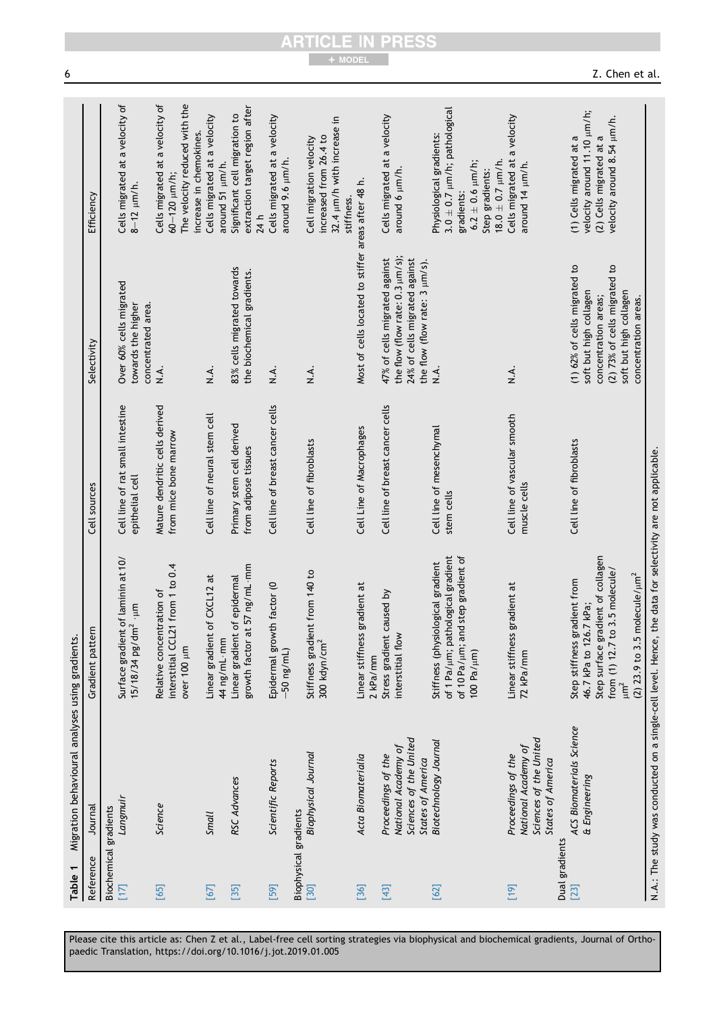| Table 1                         | Migration behavioural analyses using gradients.                                          |                                                                                                                                                                                                |                                                         |                                                                                                                                                                  |                                                                                                                                                      |
|---------------------------------|------------------------------------------------------------------------------------------|------------------------------------------------------------------------------------------------------------------------------------------------------------------------------------------------|---------------------------------------------------------|------------------------------------------------------------------------------------------------------------------------------------------------------------------|------------------------------------------------------------------------------------------------------------------------------------------------------|
| Reference                       | Journal                                                                                  | Gradient patter                                                                                                                                                                                | Cell sources                                            | Selectivity                                                                                                                                                      | Efficiency                                                                                                                                           |
| Biochemical gradients<br>$[17]$ | Langmuir                                                                                 | of laminin at 10/<br>15/18/34 pg/dm <sup>2</sup> . um<br>Surface gradient                                                                                                                      | Cell line of rat small intestine<br>epithelial cell     | Over 60% cells migrated<br>towards the higher<br>concentrated area.                                                                                              | Cells migrated at a velocity of<br>$8 - 12 \mu m/h$ .                                                                                                |
| $[65]$                          | Science                                                                                  | interstitial CCL21 from 1 to 0.4<br>Relative concentration of<br>over 100 µm                                                                                                                   | Mature dendritic cells derived<br>from mice bone marrow | $\frac{1}{2}$                                                                                                                                                    | The velocity reduced with the<br>Cells migrated at a velocity of<br>increase in chemokines.<br>$60 - 120$ $\mu$ m/h;                                 |
| [67]                            | <b>Small</b>                                                                             | of CXCL12 at<br>Linear gradient<br>44 ng/mL·mm                                                                                                                                                 | Cell line of neural stem cell                           | بر<br>خ                                                                                                                                                          | Cells migrated at a velocity<br>around 51 µm/h.                                                                                                      |
| $[35]$                          | RSC Advances                                                                             | $57$ ng/mL $\cdot$ mm<br>Linear gradient of epidermal<br>growth factor at                                                                                                                      | Primary stem cell derived<br>from adipose tissues       | 83% cells migrated towards<br>the biochemical gradients.                                                                                                         | extraction target region after<br>Significant cell migration to<br>24h                                                                               |
| Biophysical gradients<br>$[59]$ | Scientific Reports                                                                       | Epidermal growth factor (0<br>$-50$ ng/mL)                                                                                                                                                     | Cell line of breast cancer cells                        | $rac{1}{2}$                                                                                                                                                      | Cells migrated at a velocity<br>around 9.6 µm/h.                                                                                                     |
| [30]                            | <b>Biophysical Journal</b>                                                               | Stiffness gradient from 140 to<br>300 kdyn/cm <sup>2</sup>                                                                                                                                     | Cell line of fibroblasts                                | $\frac{1}{2}$                                                                                                                                                    | 32.4 µm/h with increase in<br>increased from 26.4 to<br>Cell migration velocity<br>stiffness.                                                        |
| $[36]$                          | Acta Biomaterialia                                                                       | Linear stiffness gradient at<br>2 kPa/mm                                                                                                                                                       | Cell Line of Macrophages                                | Most of cells located to stiffer areas after 48 h.                                                                                                               |                                                                                                                                                      |
| $[43]$                          | Sciences of the United<br>National Academy of<br>Proceedings of the<br>States of America | Stress gradient caused by<br>interstitial flow                                                                                                                                                 | Cell line of breast cancer cells                        | the flow (flow rate: 0.3 µm/s);<br>47% of cells migrated against<br>24% of cells migrated against<br>the flow (flow rate: 3 µm/s).                               | Cells migrated at a velocity<br>around 6 µm/h.                                                                                                       |
| $[62]$                          | Biotechnology Journal                                                                    | of 1 Pa/µm; pathological gradient<br>of 10 Pa/µm; and step gradient of<br>Stiffness (physiological gradient<br>100 $Pa/\mu m$ )                                                                | Cell line of mesenchymal<br>stem cells                  | $rac{1}{2}$                                                                                                                                                      | $3.0 \pm 0.7$ µm/h; pathological<br>Physiological gradients:<br>18.0 $\pm$ 0.7 $\mu$ m/h.<br>$6.2 \pm 0.6 \mu m/h;$<br>Step gradients:<br>gradients: |
| Dual gradients<br>[19]          | Sciences of the United<br>National Academy of<br>Proceedings of the<br>States of America | Linear stiffness gradient at<br>72 kPa/mm                                                                                                                                                      | Cell line of vascular smooth<br>muscle cells            | $\frac{1}{2}$                                                                                                                                                    | Cells migrated at a velocity<br>around 14 µm/h.                                                                                                      |
| $[23]$                          | ACS Biomaterials Science<br>& Engineering                                                | Step surface gradient of collagen<br>3.5 molecule<br>(2) 23.9 to 3.5 molecule/ $\mu$ m <sup>2</sup><br>Step stiffness gradient from<br>46.7 kPa to 126.7 kPa;<br>from (1) 12.7 to<br>$\mu m^2$ | Cell line of fibroblasts                                | (1) 62% of cells migrated to<br>(2) 73% of cells migrated to<br>soft but high collagen<br>soft but high collagen<br>concentration areas;<br>concentration areas. | velocity around 11.10 um/h;<br>velocity around 8.54 µm/h.<br>(1) Cells migrated at a<br>(2) Cells migrated at a                                      |
|                                 |                                                                                          | N.A.: The study was conducted on a single-cell level. Hence, the data for selectivity are not applicable.                                                                                      |                                                         |                                                                                                                                                                  |                                                                                                                                                      |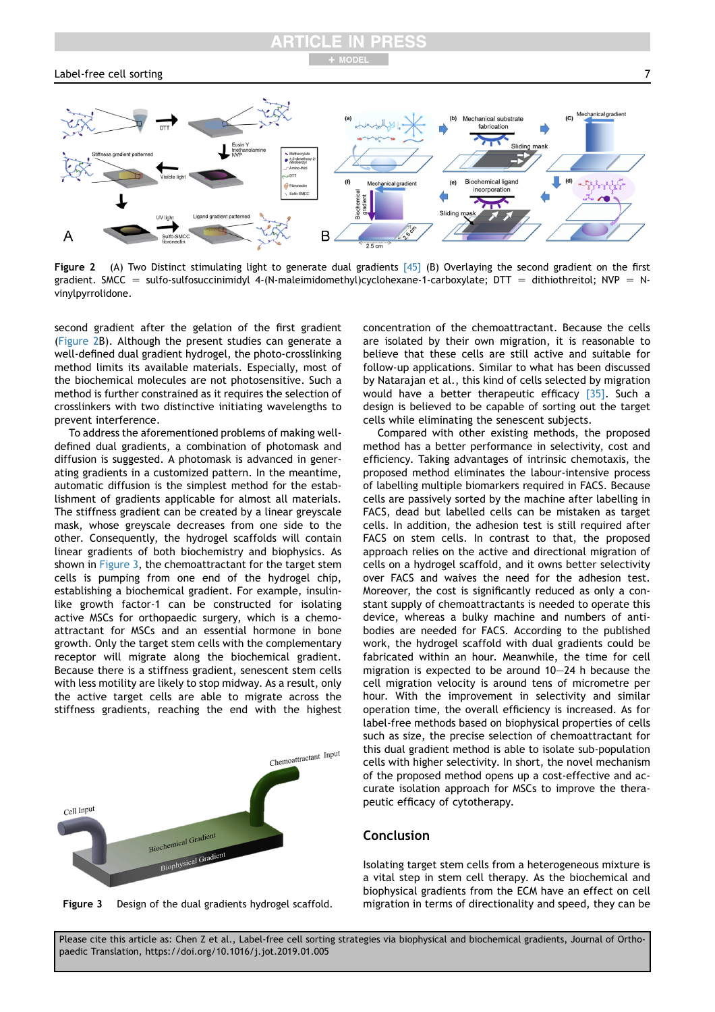

Figure 2 (A) Two Distinct stimulating light to generate dual gradients [45] (B) Overlaying the second gradient on the first gradient. SMCC = sulfo-sulfosuccinimidyl 4-(N-maleimidomethyl)cyclohexane-1-carboxylate; DTT = dithiothreitol; NVP = Nvinylpyrrolidone.

second gradient after the gelation of the first gradient (Figure 2B). Although the present studies can generate a well-defined dual gradient hydrogel, the photo-crosslinking method limits its available materials. Especially, most of the biochemical molecules are not photosensitive. Such a method is further constrained as it requires the selection of crosslinkers with two distinctive initiating wavelengths to prevent interference.

To address the aforementioned problems of making welldefined dual gradients, a combination of photomask and diffusion is suggested. A photomask is advanced in generating gradients in a customized pattern. In the meantime, automatic diffusion is the simplest method for the establishment of gradients applicable for almost all materials. The stiffness gradient can be created by a linear greyscale mask, whose greyscale decreases from one side to the other. Consequently, the hydrogel scaffolds will contain linear gradients of both biochemistry and biophysics. As shown in Figure 3, the chemoattractant for the target stem cells is pumping from one end of the hydrogel chip, establishing a biochemical gradient. For example, insulinlike growth factor-1 can be constructed for isolating active MSCs for orthopaedic surgery, which is a chemoattractant for MSCs and an essential hormone in bone growth. Only the target stem cells with the complementary receptor will migrate along the biochemical gradient. Because there is a stiffness gradient, senescent stem cells with less motility are likely to stop midway. As a result, only the active target cells are able to migrate across the stiffness gradients, reaching the end with the highest



Figure 3 Design of the dual gradients hydrogel scaffold.

concentration of the chemoattractant. Because the cells are isolated by their own migration, it is reasonable to believe that these cells are still active and suitable for follow-up applications. Similar to what has been discussed by Natarajan et al., this kind of cells selected by migration would have a better therapeutic efficacy [35]. Such a design is believed to be capable of sorting out the target cells while eliminating the senescent subjects.

Compared with other existing methods, the proposed method has a better performance in selectivity, cost and efficiency. Taking advantages of intrinsic chemotaxis, the proposed method eliminates the labour-intensive process of labelling multiple biomarkers required in FACS. Because cells are passively sorted by the machine after labelling in FACS, dead but labelled cells can be mistaken as target cells. In addition, the adhesion test is still required after FACS on stem cells. In contrast to that, the proposed approach relies on the active and directional migration of cells on a hydrogel scaffold, and it owns better selectivity over FACS and waives the need for the adhesion test. Moreover, the cost is significantly reduced as only a constant supply of chemoattractants is needed to operate this device, whereas a bulky machine and numbers of antibodies are needed for FACS. According to the published work, the hydrogel scaffold with dual gradients could be fabricated within an hour. Meanwhile, the time for cell migration is expected to be around  $10-24$  h because the cell migration velocity is around tens of micrometre per hour. With the improvement in selectivity and similar operation time, the overall efficiency is increased. As for label-free methods based on biophysical properties of cells such as size, the precise selection of chemoattractant for this dual gradient method is able to isolate sub-population cells with higher selectivity. In short, the novel mechanism of the proposed method opens up a cost-effective and accurate isolation approach for MSCs to improve the therapeutic efficacy of cytotherapy.

#### Conclusion

Isolating target stem cells from a heterogeneous mixture is a vital step in stem cell therapy. As the biochemical and biophysical gradients from the ECM have an effect on cell migration in terms of directionality and speed, they can be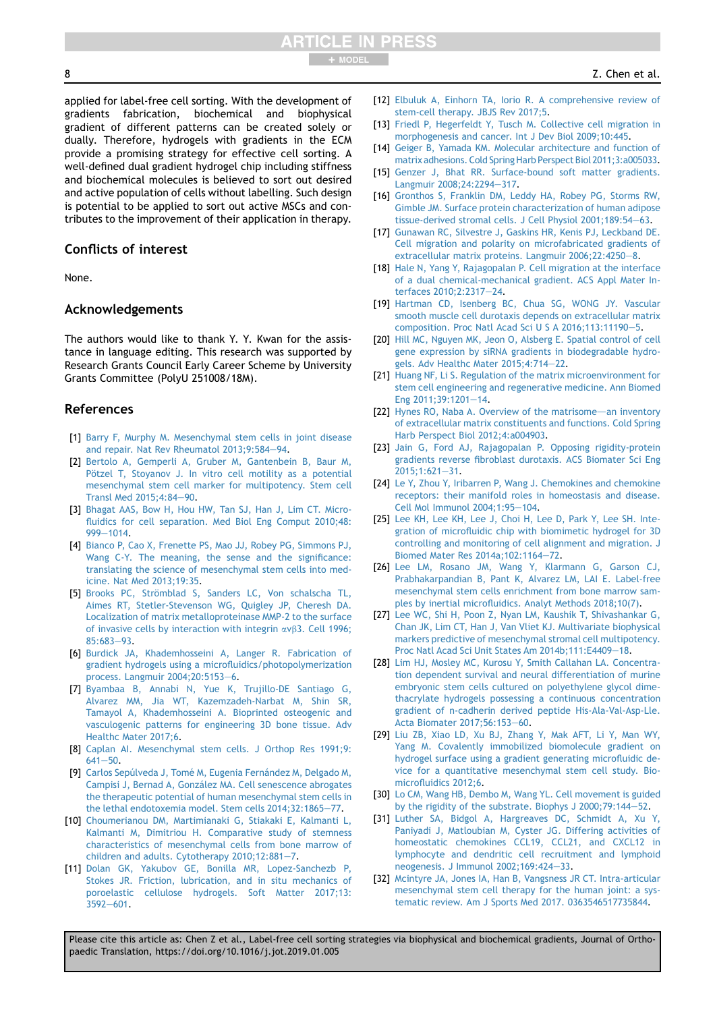#### RTICLE IN I **PRESS**

applied for label-free cell sorting. With the development of gradients fabrication, biochemical and biophysical gradient of different patterns can be created solely or dually. Therefore, hydrogels with gradients in the ECM provide a promising strategy for effective cell sorting. A well-defined dual gradient hydrogel chip including stiffness and biochemical molecules is believed to sort out desired and active population of cells without labelling. Such design is potential to be applied to sort out active MSCs and contributes to the improvement of their application in therapy.

#### Conflicts of interest

None.

#### Acknowledgements

The authors would like to thank Y. Y. Kwan for the assistance in language editing. This research was supported by Research Grants Council Early Career Scheme by University Grants Committee (PolyU 251008/18M).

#### References

- [1] Barry F, Murphy M. Mesenchymal stem cells in joint disease and repair. Nat Rev Rheumatol 2013;9:584-94.
- [2] Bertolo A, Gemperli A, Gruber M, Gantenbein B, Baur M, Pötzel T, Stoyanov J. In vitro cell motility as a potential mesenchymal stem cell marker for multipotency. Stem cell Transl Med 2015:4:84-90.
- [3] Bhagat AAS, Bow H, Hou HW, Tan SJ, Han J, Lim CT. Microfluidics for cell separation. Med Biol Eng Comput 2010;48: 999-1014.
- [4] Bianco P, Cao X, Frenette PS, Mao JJ, Robey PG, Simmons PJ, Wang C-Y. The meaning, the sense and the significance: translating the science of mesenchymal stem cells into medicine. Nat Med 2013;19:35.
- [5] Brooks PC, Strömblad S, Sanders LC, Von schalscha TL, Aimes RT, Stetler-Stevenson WG, Quigley JP, Cheresh DA. Localization of matrix metalloproteinase MMP-2 to the surface of invasive cells by interaction with integrin  $\alpha v\beta 3$ . Cell 1996;  $85.683 - 93$
- [6] Burdick JA, Khademhosseini A, Langer R. Fabrication of gradient hydrogels using a microfluidics/photopolymerization process. Langmuir 2004;20:5153-6.
- [7] Byambaa B, Annabi N, Yue K, Trujillo-DE Santiago G, Alvarez MM, Jia WT, Kazemzadeh-Narbat M, Shin SR, Tamayol A, Khademhosseini A. Bioprinted osteogenic and vasculogenic patterns for engineering 3D bone tissue. Adv Healthc Mater 2017;6.
- [8] Caplan AI. Mesenchymal stem cells. J Orthop Res 1991;9:  $641 - 50$ .
- [9] Carlos Sepúlveda J, Tomé M, Eugenia Fernández M, Delgado M, Campisi J, Bernad A, González MA. Cell senescence abrogates the therapeutic potential of human mesenchymal stem cells in the lethal endotoxemia model. Stem cells 2014;32:1865-77.
- [10] Choumerianou DM, Martimianaki G, Stiakaki E, Kalmanti L, Kalmanti M, Dimitriou H. Comparative study of stemness characteristics of mesenchymal cells from bone marrow of children and adults. Cytotherapy  $2010;12:881-7$ .
- [11] Dolan GK, Yakubov GE, Bonilla MR, Lopez-Sanchezb P, Stokes JR. Friction, lubrication, and in situ mechanics of poroelastic cellulose hydrogels. Soft Matter 2017;13:  $3592 - 601$
- [12] Elbuluk A, Einhorn TA, Iorio R. A comprehensive review of stem-cell therapy. JBJS Rev 2017;5.
- [13] Friedl P, Hegerfeldt Y, Tusch M. Collective cell migration in morphogenesis and cancer. Int J Dev Biol 2009;10:445.
- [14] Geiger B, Yamada KM. Molecular architecture and function of matrix adhesions. Cold Spring Harb Perspect Biol 2011;3:a005033.
- [15] Genzer J, Bhat RR. Surface-bound soft matter gradients. Langmuir 2008:24:2294-317.
- [16] Gronthos S, Franklin DM, Leddy HA, Robey PG, Storms RW, Gimble JM. Surface protein characterization of human adipose tissue-derived stromal cells. J Cell Physiol  $2001:189:54-63$ .
- [17] Gunawan RC, Silvestre J, Gaskins HR, Kenis PJ, Leckband DE. Cell migration and polarity on microfabricated gradients of extracellular matrix proteins. Langmuir 2006;22:4250-8.
- [18] Hale N, Yang Y, Rajagopalan P. Cell migration at the interface of a dual chemical-mechanical gradient. ACS Appl Mater Interfaces 2010;2:2317-24.
- [19] Hartman CD, Isenberg BC, Chua SG, WONG JY. Vascular smooth muscle cell durotaxis depends on extracellular matrix composition. Proc Natl Acad Sci U S A  $2016:113:11190 - 5$ .
- [20] Hill MC, Nguyen MK, Jeon O, Alsberg E. Spatial control of cell gene expression by siRNA gradients in biodegradable hydrogels. Adv Healthc Mater 2015:4:714-22.
- [21] Huang NF, Li S. Regulation of the matrix microenvironment for stem cell engineering and regenerative medicine. Ann Biomed Eng 2011:39:1201-14.
- [22] Hynes RO, Naba A. Overview of the matrisome-an inventory of extracellular matrix constituents and functions. Cold Spring Harb Perspect Biol 2012;4:a004903.
- [23] Jain G, Ford AJ, Rajagopalan P. Opposing rigidity-protein gradients reverse fibroblast durotaxis. ACS Biomater Sci Eng  $2015:1:621-31.$
- [24] Le Y, Zhou Y, Iribarren P, Wang J. Chemokines and chemokine receptors: their manifold roles in homeostasis and disease. Cell Mol Immunol 2004;1:95-104.
- [25] Lee KH, Lee KH, Lee J, Choi H, Lee D, Park Y, Lee SH. Integration of microfluidic chip with biomimetic hydrogel for 3D controlling and monitoring of cell alignment and migration. J Biomed Mater Res 2014a; 102: 1164-72.
- [26] Lee LM, Rosano JM, Wang Y, Klarmann G, Garson CJ, Prabhakarpandian B, Pant K, Alvarez LM, LAI E. Label-free mesenchymal stem cells enrichment from bone marrow samples by inertial microfluidics. Analyt Methods 2018;10(7).
- [27] Lee WC, Shi H, Poon Z, Nyan LM, Kaushik T, Shivashankar G, Chan JK, Lim CT, Han J, Van Vliet KJ. Multivariate biophysical markers predictive of mesenchymal stromal cell multipotency. Proc Natl Acad Sci Unit States Am 2014b;111:E4409-18.
- [28] Lim HJ, Mosley MC, Kurosu Y, Smith Callahan LA. Concentration dependent survival and neural differentiation of murine embryonic stem cells cultured on polyethylene glycol dimethacrylate hydrogels possessing a continuous concentration gradient of n-cadherin derived peptide His-Ala-Val-Asp-Lle. Acta Biomater 2017:56:153-60.
- [29] Liu ZB, Xiao LD, Xu BJ, Zhang Y, Mak AFT, Li Y, Man WY, Yang M. Covalently immobilized biomolecule gradient on hydrogel surface using a gradient generating microfluidic device for a quantitative mesenchymal stem cell study. Biomicrofluidics 2012;6.
- [30] Lo CM, Wang HB, Dembo M, Wang YL. Cell movement is guided by the rigidity of the substrate. Biophys J  $2000;79:144-52$ .
- [31] Luther SA, Bidgol A, Hargreaves DC, Schmidt A, Xu Y, Paniyadi J, Matloubian M, Cyster JG. Differing activities of homeostatic chemokines CCL19, CCL21, and CXCL12 in lymphocyte and dendritic cell recruitment and lymphoid neogenesis. J Immunol 2002;169:424-33.
- [32] Mcintyre JA, Jones IA, Han B, Vangsness JR CT. Intra-articular mesenchymal stem cell therapy for the human joint: a systematic review. Am J Sports Med 2017. 0363546517735844.